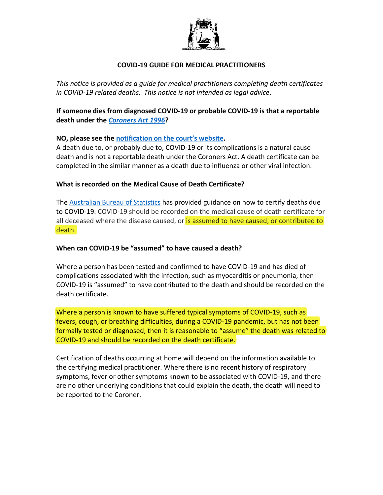

## **COVID-19 GUIDE FOR MEDICAL PRACTITIONERS**

*This notice is provided as a guide for medical practitioners completing death certificates in COVID-19 related deaths. This notice is not intended as legal advice*.

**If someone dies from diagnosed COVID-19 or probable COVID-19 is that a reportable death under the** *[Coroners Act](https://www.legislation.wa.gov.au/legislation/statutes.nsf/law_a185.html) 1996***?** 

### **NO, please see th[e notification on the court's website.](https://www.coronerscourt.wa.gov.au/R/reported_coroner.aspx)**

A death due to, or probably due to, COVID-19 or its complications is a natural cause death and is not a reportable death under the Coroners Act. A death certificate can be completed in the similar manner as a death due to influenza or other viral infection.

### **What is recorded on the Medical Cause of Death Certificate?**

The **Australian Bureau of Statistics** has provided guidance on how to certify deaths due to COVID-19. COVID-19 should be recorded on the medical cause of death certificate for all deceased where the disease caused, or is assumed to have caused, or contributed to death.

#### **When can COVID-19 be "assumed" to have caused a death?**

Where a person has been tested and confirmed to have COVID-19 and has died of complications associated with the infection, such as myocarditis or pneumonia, then COVID-19 is "assumed" to have contributed to the death and should be recorded on the death certificate.

Where a person is known to have suffered typical symptoms of COVID-19, such as fevers, cough, or breathing difficulties, during a COVID-19 pandemic, but has not been formally tested or diagnosed, then it is reasonable to "assume" the death was related to COVID-19 and should be recorded on the death certificate.

Certification of deaths occurring at home will depend on the information available to the certifying medical practitioner. Where there is no recent history of respiratory symptoms, fever or other symptoms known to be associated with COVID-19, and there are no other underlying conditions that could explain the death, the death will need to be reported to the Coroner.